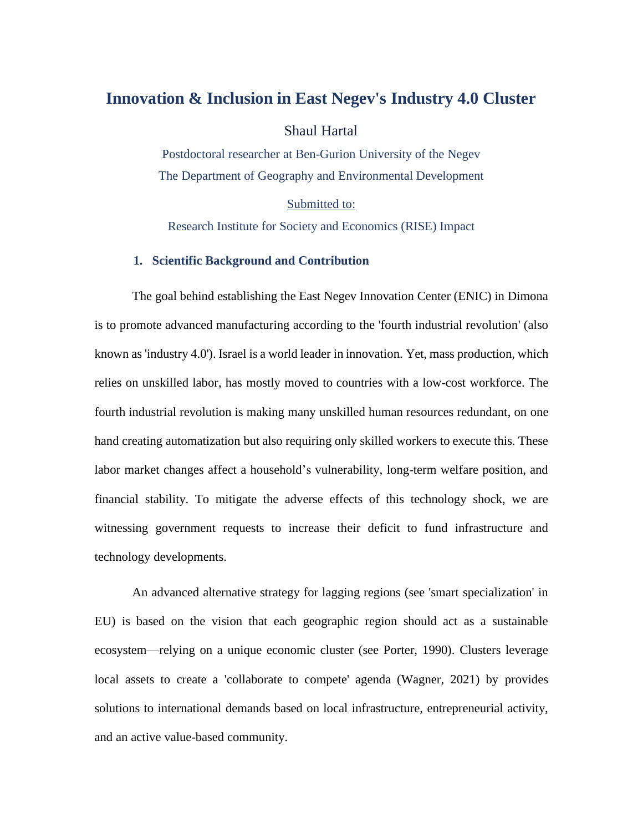## **Innovation & Inclusion in East Negev's Industry 4.0 Cluster**

Shaul Hartal

Postdoctoral researcher at Ben-Gurion University of the Negev The Department of Geography and Environmental Development

Submitted to:

Research Institute for Society and Economics (RISE) Impact

#### **1. Scientific Background and Contribution**

The goal behind establishing the East Negev Innovation Center (ENIC) in Dimona is to promote advanced manufacturing according to the 'fourth industrial revolution' (also known as 'industry 4.0'). Israel is a world leader in innovation. Yet, mass production, which relies on unskilled labor, has mostly moved to countries with a low-cost workforce. The fourth industrial revolution is making many unskilled human resources redundant, on one hand creating automatization but also requiring only skilled workers to execute this. These labor market changes affect a household's vulnerability, long-term welfare position, and financial stability. To mitigate the adverse effects of this technology shock, we are witnessing government requests to increase their deficit to fund infrastructure and technology developments.

An advanced alternative strategy for lagging regions (see 'smart specialization' in EU) is based on the vision that each geographic region should act as a sustainable ecosystem—relying on a unique economic cluster (see Porter, 1990). Clusters leverage local assets to create a 'collaborate to compete' agenda (Wagner, 2021) by provides solutions to international demands based on local infrastructure, entrepreneurial activity, and an active value-based community.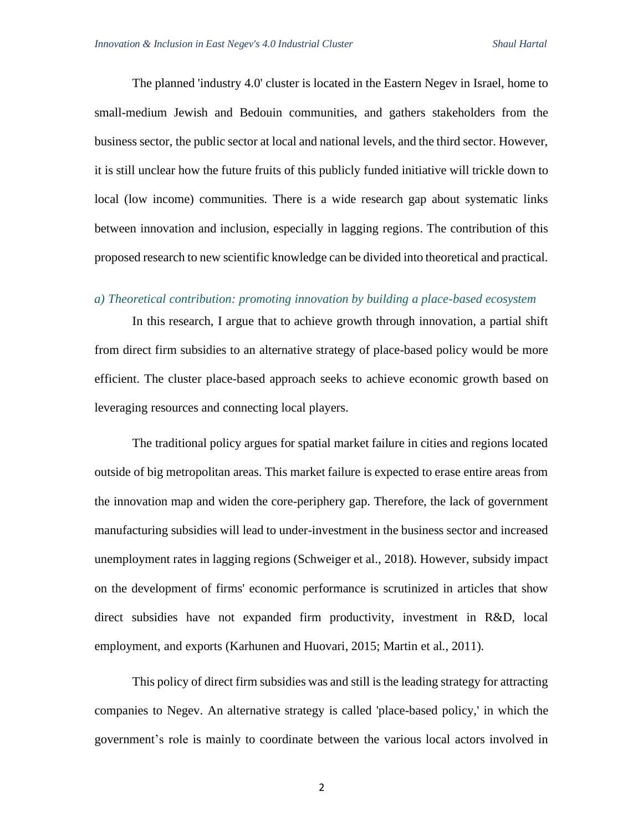The planned 'industry 4.0' cluster is located in the Eastern Negev in Israel, home to small-medium Jewish and Bedouin communities, and gathers stakeholders from the business sector, the public sector at local and national levels, and the third sector. However, it is still unclear how the future fruits of this publicly funded initiative will trickle down to local (low income) communities. There is a wide research gap about systematic links between innovation and inclusion, especially in lagging regions. The contribution of this proposed research to new scientific knowledge can be divided into theoretical and practical.

#### *a) Theoretical contribution: promoting innovation by building a place-based ecosystem*

In this research, I argue that to achieve growth through innovation, a partial shift from direct firm subsidies to an alternative strategy of place-based policy would be more efficient. The cluster place-based approach seeks to achieve economic growth based on leveraging resources and connecting local players.

The traditional policy argues for spatial market failure in cities and regions located outside of big metropolitan areas. This market failure is expected to erase entire areas from the innovation map and widen the core-periphery gap. Therefore, the lack of government manufacturing subsidies will lead to under-investment in the business sector and increased unemployment rates in lagging regions (Schweiger et al., 2018). However, subsidy impact on the development of firms' economic performance is scrutinized in articles that show direct subsidies have not expanded firm productivity, investment in R&D, local employment, and exports (Karhunen and Huovari, 2015; Martin et al., 2011).

This policy of direct firm subsidies was and still is the leading strategy for attracting companies to Negev. An alternative strategy is called 'place-based policy,' in which the government's role is mainly to coordinate between the various local actors involved in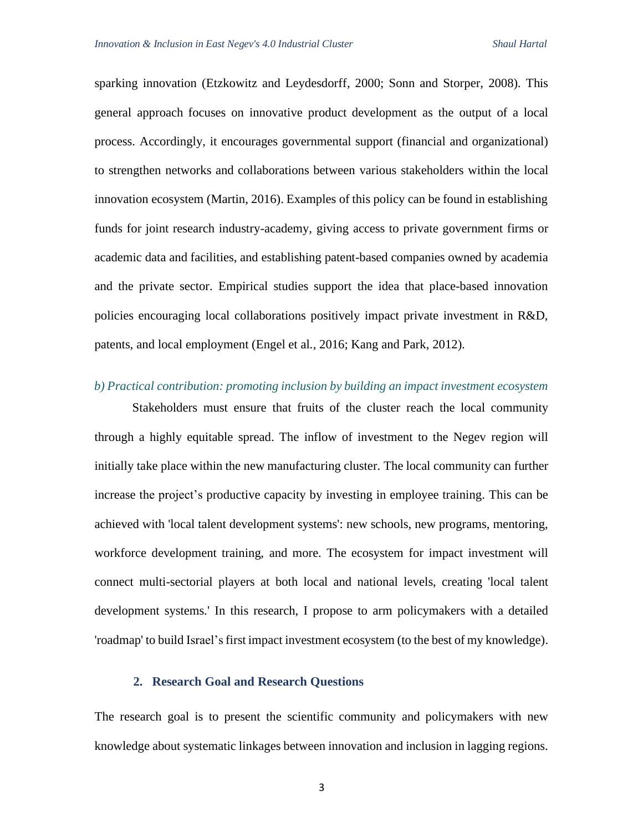sparking innovation (Etzkowitz and Leydesdorff, 2000; Sonn and Storper, 2008). This general approach focuses on innovative product development as the output of a local process. Accordingly, it encourages governmental support (financial and organizational) to strengthen networks and collaborations between various stakeholders within the local innovation ecosystem (Martin, 2016). Examples of this policy can be found in establishing funds for joint research industry-academy, giving access to private government firms or academic data and facilities, and establishing patent-based companies owned by academia and the private sector. Empirical studies support the idea that place-based innovation policies encouraging local collaborations positively impact private investment in R&D, patents, and local employment (Engel et al., 2016; Kang and Park, 2012).

#### *b) Practical contribution: promoting inclusion by building an impact investment ecosystem*

Stakeholders must ensure that fruits of the cluster reach the local community through a highly equitable spread. The inflow of investment to the Negev region will initially take place within the new manufacturing cluster. The local community can further increase the project's productive capacity by investing in employee training. This can be achieved with 'local talent development systems': new schools, new programs, mentoring, workforce development training, and more. The ecosystem for impact investment will connect multi-sectorial players at both local and national levels, creating 'local talent development systems.' In this research, I propose to arm policymakers with a detailed 'roadmap' to build Israel's first impact investment ecosystem (to the best of my knowledge).

#### **2. Research Goal and Research Questions**

The research goal is to present the scientific community and policymakers with new knowledge about systematic linkages between innovation and inclusion in lagging regions.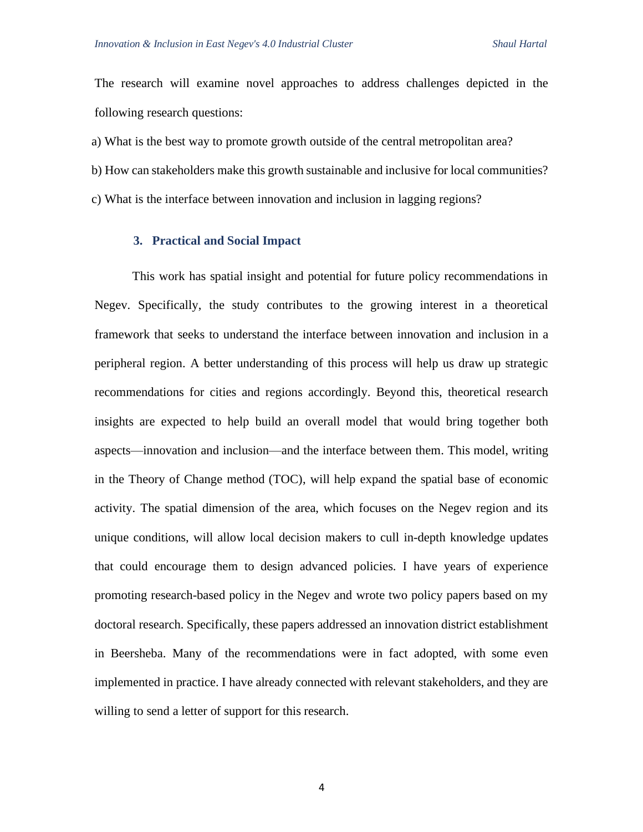The research will examine novel approaches to address challenges depicted in the following research questions:

a) What is the best way to promote growth outside of the central metropolitan area?

- b) How can stakeholders make this growth sustainable and inclusive for local communities?
- c) What is the interface between innovation and inclusion in lagging regions?

#### **3. Practical and Social Impact**

This work has spatial insight and potential for future policy recommendations in Negev. Specifically, the study contributes to the growing interest in a theoretical framework that seeks to understand the interface between innovation and inclusion in a peripheral region. A better understanding of this process will help us draw up strategic recommendations for cities and regions accordingly. Beyond this, theoretical research insights are expected to help build an overall model that would bring together both aspects—innovation and inclusion—and the interface between them. This model, writing in the Theory of Change method (TOC), will help expand the spatial base of economic activity. The spatial dimension of the area, which focuses on the Negev region and its unique conditions, will allow local decision makers to cull in-depth knowledge updates that could encourage them to design advanced policies. I have years of experience promoting research-based policy in the Negev and wrote two policy papers based on my doctoral research. Specifically, these papers addressed an innovation district establishment in Beersheba. Many of the recommendations were in fact adopted, with some even implemented in practice. I have already connected with relevant stakeholders, and they are willing to send a letter of support for this research.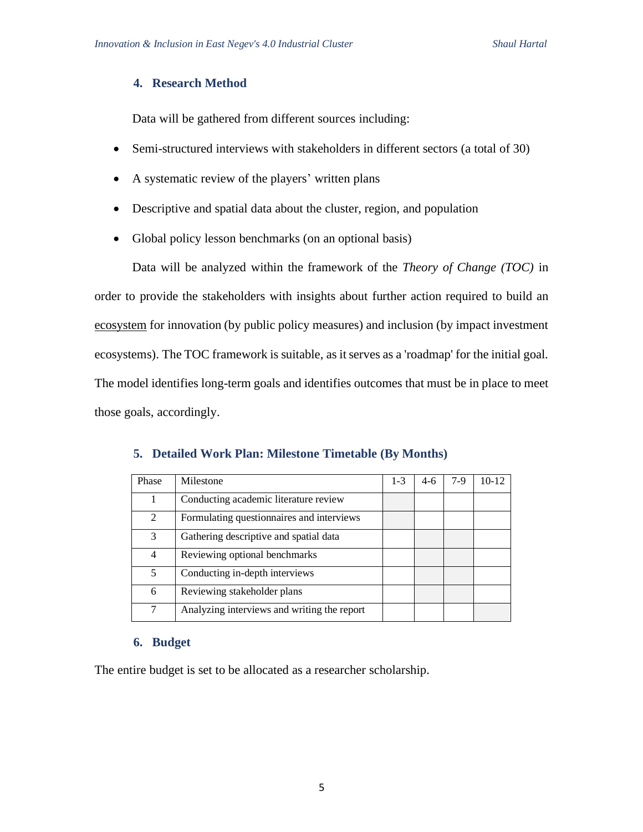#### **4. Research Method**

Data will be gathered from different sources including:

- Semi-structured interviews with stakeholders in different sectors (a total of 30)
- A systematic review of the players' written plans
- Descriptive and spatial data about the cluster, region, and population
- Global policy lesson benchmarks (on an optional basis)

Data will be analyzed within the framework of the *Theory of Change (TOC)* in order to provide the stakeholders with insights about further action required to build an ecosystem for innovation (by public policy measures) and inclusion (by impact investment ecosystems). The TOC framework is suitable, as it serves as a 'roadmap' for the initial goal. The model identifies long-term goals and identifies outcomes that must be in place to meet those goals, accordingly.

| Phase          | Milestone                                   | $1 - 3$ | $4-6$ | $7-9$ | $10 - 12$ |
|----------------|---------------------------------------------|---------|-------|-------|-----------|
|                | Conducting academic literature review       |         |       |       |           |
| $\mathfrak{D}$ | Formulating questionnaires and interviews   |         |       |       |           |
| 3              | Gathering descriptive and spatial data      |         |       |       |           |
| 4              | Reviewing optional benchmarks               |         |       |       |           |
| 5              | Conducting in-depth interviews              |         |       |       |           |
| 6              | Reviewing stakeholder plans                 |         |       |       |           |
| 7              | Analyzing interviews and writing the report |         |       |       |           |

#### **5. Detailed Work Plan: Milestone Timetable (By Months)**

#### **6. Budget**

The entire budget is set to be allocated as a researcher scholarship.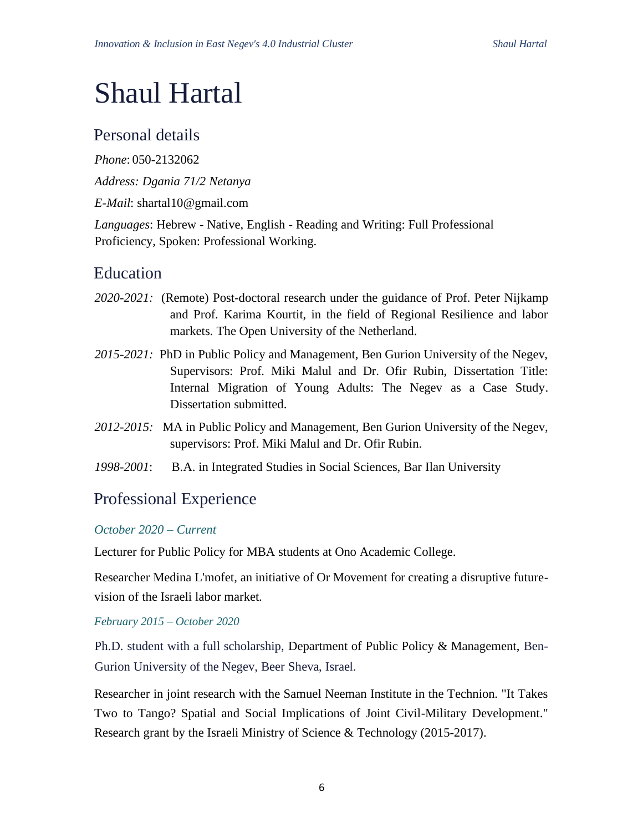# Shaul Hartal

# Personal details

*Phone*: 050-2132062

*Address: Dgania 71/2 Netanya*

*E-Mail*: shartal10@gmail.com

*Languages*: Hebrew - Native, English - Reading and Writing: Full Professional Proficiency, Spoken: Professional Working.

# Education

- *2020-2021:* (Remote) Post-doctoral research under the guidance of Prof. Peter Nijkamp and Prof. Karima Kourtit, in the field of Regional Resilience and labor markets. The Open University of the Netherland.
- *2015-2021:* PhD in Public Policy and Management, Ben Gurion University of the Negev, Supervisors: Prof. Miki Malul and Dr. Ofir Rubin, Dissertation Title: Internal Migration of Young Adults: The Negev as a Case Study. Dissertation submitted.
- *2012-2015:* MA in Public Policy and Management, Ben Gurion University of the Negev, supervisors: Prof. Miki Malul and Dr. Ofir Rubin.
- *1998-2001*: B.A. in Integrated Studies in Social Sciences, Bar Ilan University

# Professional Experience

## *October 2020 – Current*

Lecturer for Public Policy for MBA students at Ono Academic College.

Researcher Medina L'mofet, an initiative of Or Movement for creating a disruptive futurevision of the Israeli labor market.

## *February 2015 – October 2020*

Ph.D. student with a full scholarship, Department of Public Policy & Management, Ben-Gurion University of the Negev, Beer Sheva, Israel.

Researcher in joint research with the Samuel Neeman Institute in the Technion. "It Takes Two to Tango? Spatial and Social Implications of Joint Civil-Military Development." Research grant by the Israeli Ministry of Science & Technology (2015-2017).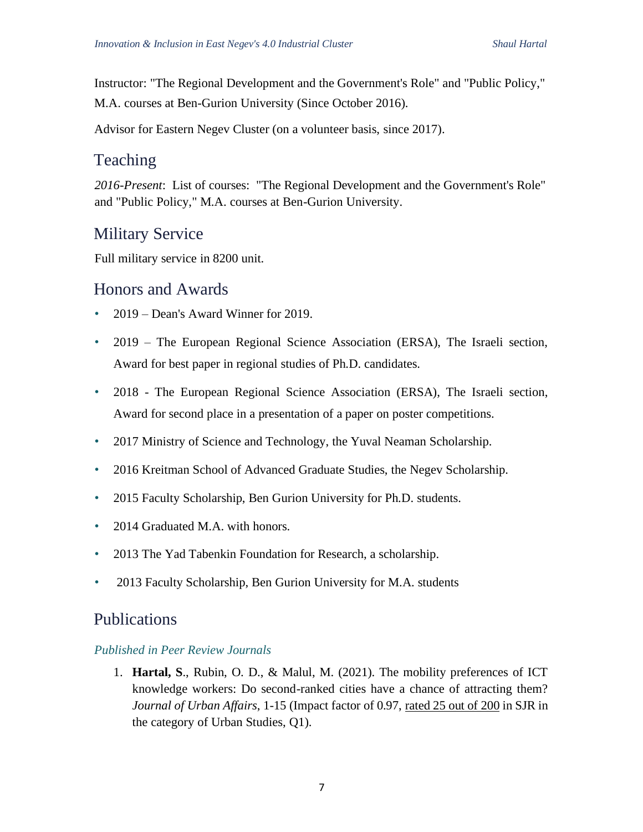Instructor: "The Regional Development and the Government's Role" and "Public Policy," M.A. courses at Ben-Gurion University (Since October 2016).

Advisor for Eastern Negev Cluster (on a volunteer basis, since 2017).

## Teaching

*2016-Present*: List of courses: "The Regional Development and the Government's Role" and "Public Policy," M.A. courses at Ben-Gurion University.

# Military Service

Full military service in 8200 unit.

## Honors and Awards

- 2019 Dean's Award Winner for 2019.
- 2019 The European Regional Science Association (ERSA), The Israeli section, Award for best paper in regional studies of Ph.D. candidates.
- 2018 The European Regional Science Association (ERSA), The Israeli section, Award for second place in a presentation of a paper on poster competitions.
- 2017 Ministry of Science and Technology, the Yuval Neaman Scholarship.
- 2016 Kreitman School of Advanced Graduate Studies, the Negev Scholarship.
- 2015 Faculty Scholarship, Ben Gurion University for Ph.D. students.
- 2014 Graduated M.A. with honors.
- 2013 The Yad Tabenkin Foundation for Research, a scholarship.
- 2013 Faculty Scholarship, Ben Gurion University for M.A. students

## Publications

## *Published in Peer Review Journals*

1. **Hartal, S**., Rubin, O. D., & Malul, M. (2021). The mobility preferences of ICT knowledge workers: Do second-ranked cities have a chance of attracting them? *Journal of Urban Affairs*, 1-15 (Impact factor of 0.97, rated 25 out of 200 in SJR in the category of Urban Studies, Q1).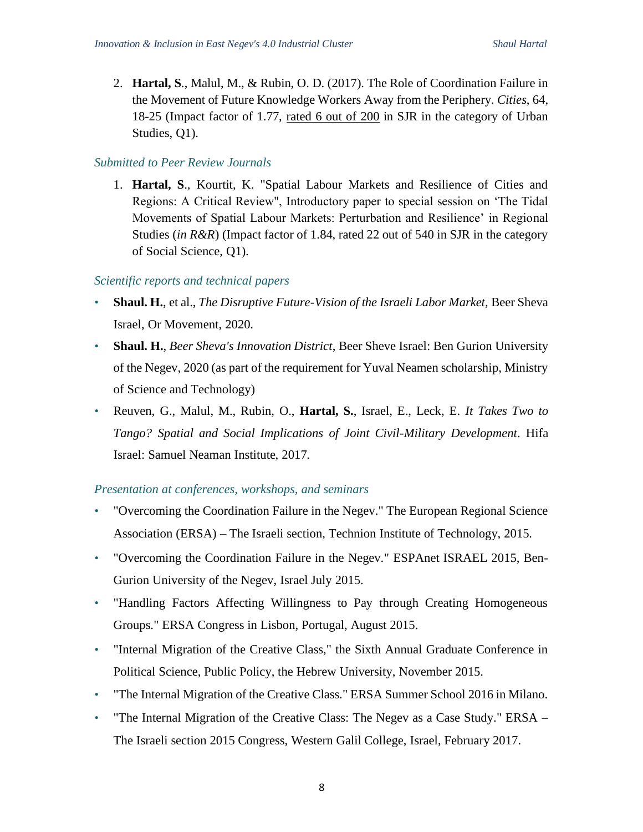2. **Hartal, S**., Malul, M., & Rubin, O. D. (2017). The Role of Coordination Failure in the Movement of Future Knowledge Workers Away from the Periphery. *Cities*, 64, 18-25 (Impact factor of 1.77, rated 6 out of 200 in SJR in the category of Urban Studies, Q1).

#### *Submitted to Peer Review Journals*

1. **Hartal, S**., Kourtit, K. "Spatial Labour Markets and Resilience of Cities and Regions: A Critical Review", Introductory paper to special session on 'The Tidal Movements of Spatial Labour Markets: Perturbation and Resilience' in Regional Studies (*in R&R*) (Impact factor of 1.84, rated 22 out of 540 in SJR in the category of Social Science, Q1).

## *Scientific reports and technical papers*

- **Shaul. H.**, et al., *The Disruptive Future-Vision of the Israeli Labor Market,* Beer Sheva Israel, Or Movement, 2020.
- **Shaul. H.**, *Beer Sheva's Innovation District*, Beer Sheve Israel: Ben Gurion University of the Negev, 2020 (as part of the requirement for Yuval Neamen scholarship, Ministry of Science and Technology)
- Reuven, G., Malul, M., Rubin, O., **Hartal, S.**, Israel, E., Leck, E. *It Takes Two to Tango? Spatial and Social Implications of Joint Civil-Military Development*. Hifa Israel: Samuel Neaman Institute, 2017.

## *Presentation at conferences, workshops, and seminars*

- "Overcoming the Coordination Failure in the Negev." The European Regional Science Association (ERSA) – The Israeli section, Technion Institute of Technology, 2015.
- "Overcoming the Coordination Failure in the Negev." ESPAnet ISRAEL 2015, Ben-Gurion University of the Negev, Israel July 2015.
- "Handling Factors Affecting Willingness to Pay through Creating Homogeneous Groups." ERSA Congress in Lisbon, Portugal, August 2015.
- "Internal Migration of the Creative Class," the Sixth Annual Graduate Conference in Political Science, Public Policy, the Hebrew University, November 2015.
- "The Internal Migration of the Creative Class." ERSA Summer School 2016 in Milano.
- "The Internal Migration of the Creative Class: The Negev as a Case Study." ERSA The Israeli section 2015 Congress, Western Galil College, Israel, February 2017.